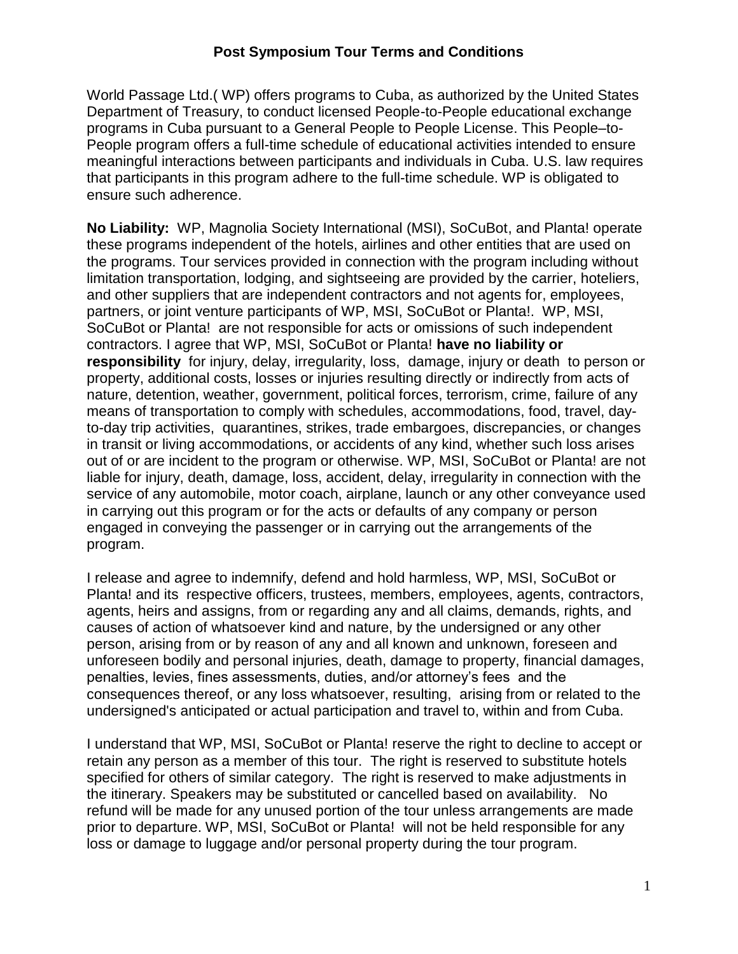World Passage Ltd.( WP) offers programs to Cuba, as authorized by the United States Department of Treasury, to conduct licensed People-to-People educational exchange programs in Cuba pursuant to a General People to People License. This People–to-People program offers a full-time schedule of educational activities intended to ensure meaningful interactions between participants and individuals in Cuba. U.S. law requires that participants in this program adhere to the full-time schedule. WP is obligated to ensure such adherence.

**No Liability:** WP, Magnolia Society International (MSI), SoCuBot, and Planta! operate these programs independent of the hotels, airlines and other entities that are used on the programs. Tour services provided in connection with the program including without limitation transportation, lodging, and sightseeing are provided by the carrier, hoteliers, and other suppliers that are independent contractors and not agents for, employees, partners, or joint venture participants of WP, MSI, SoCuBot or Planta!. WP, MSI, SoCuBot or Planta! are not responsible for acts or omissions of such independent contractors. I agree that WP, MSI, SoCuBot or Planta! **have no liability or responsibility** for injury, delay, irregularity, loss, damage, injury or death to person or property, additional costs, losses or injuries resulting directly or indirectly from acts of nature, detention, weather, government, political forces, terrorism, crime, failure of any means of transportation to comply with schedules, accommodations, food, travel, dayto-day trip activities, quarantines, strikes, trade embargoes, discrepancies, or changes in transit or living accommodations, or accidents of any kind, whether such loss arises out of or are incident to the program or otherwise. WP, MSI, SoCuBot or Planta! are not liable for injury, death, damage, loss, accident, delay, irregularity in connection with the service of any automobile, motor coach, airplane, launch or any other conveyance used in carrying out this program or for the acts or defaults of any company or person engaged in conveying the passenger or in carrying out the arrangements of the program.

I release and agree to indemnify, defend and hold harmless, WP, MSI, SoCuBot or Planta! and its respective officers, trustees, members, employees, agents, contractors, agents, heirs and assigns, from or regarding any and all claims, demands, rights, and causes of action of whatsoever kind and nature, by the undersigned or any other person, arising from or by reason of any and all known and unknown, foreseen and unforeseen bodily and personal injuries, death, damage to property, financial damages, penalties, levies, fines assessments, duties, and/or attorney's fees and the consequences thereof, or any loss whatsoever, resulting, arising from or related to the undersigned's anticipated or actual participation and travel to, within and from Cuba.

I understand that WP, MSI, SoCuBot or Planta! reserve the right to decline to accept or retain any person as a member of this tour. The right is reserved to substitute hotels specified for others of similar category. The right is reserved to make adjustments in the itinerary. Speakers may be substituted or cancelled based on availability. No refund will be made for any unused portion of the tour unless arrangements are made prior to departure. WP, MSI, SoCuBot or Planta! will not be held responsible for any loss or damage to luggage and/or personal property during the tour program.